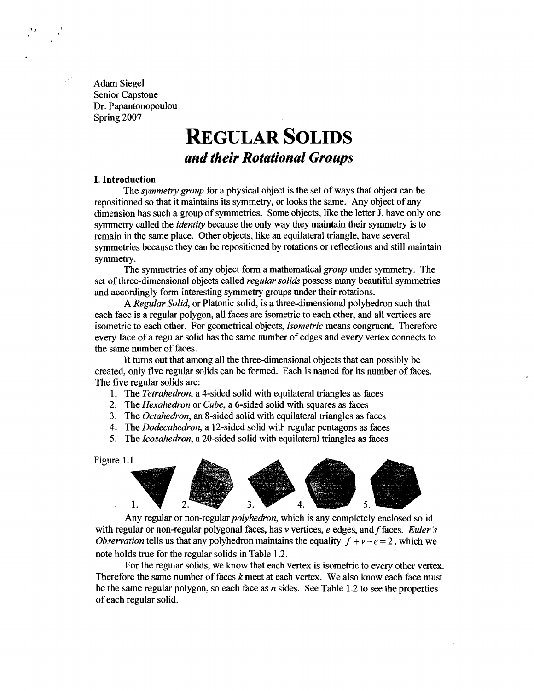Adam Siege1 Senior Capstone Dr. Papantonopoulou Spring 2007

# **REGULAR SOLIDS** *and their Rotational Groups*

#### **I. Introduction**

The *symmetry group* for a physical object is the set of ways that object can be repositioned so that it maintains its symmetry, or looks the same. Any object of any dimension has such a group of symmetries. Some objects, like the letter J, have only one symmetry called the *identity* because the only way they maintain their symmetry is to remain in the same place. Other objects, like an equilateral triangle, have several symmetries because they can be repositioned by rotations or reflections and still maintain symmetry.

The symmetries of any object form a mathematical *group* under symmetry. The set of three-dimensional objects called *regular solids* possess many beautiful symmetries and accordingly form interesting symmetry groups under their rotations.

A Regular Solid, or Platonic solid, is a three-dimensional polyhedron such that each face is a regular polygon, all faces are isometric to each other, and all vertices are isometric to each other. For geometrical objects, *isometric* means congruent. Therefore every face of a regular solid has the same number of edges and every vertex connects to the same number of faces.

It turns out that among all the three-dimensional objects that can possibly be created, only five regular solids can be formed. Each is named for its number of faces. The five regular solids are:

1. The Tetrahedron, a 4-sided solid with equilateral triangles as faces

2. The Hexahedron or Cube, a 6-sided solid with squares as faces

3. The Octahedron, an 8-sided solid with equilateral triangles as faces

4. The Dodecahedron, a 12-sided solid with regular pentagons as faces

5. The Icosahedron, a 20-sided solid with equilateral triangles as faces



with regular or non-regular polygonal faces, has  $\nu$  vertices,  $e$  edges, and f faces. *Euler's Observation* tells us that any polyhedron maintains the equality  $f + v - e = 2$ , which we note holds true for the regular solids in Table 1.2.

For the regular solids, we know that each vertex is isometric to every other vertex. Therefore the same number of faces  $k$  meet at each vertex. We also know each face must be the same regular polygon, so each face as  $n$  sides. See Table 1.2 to see the properties of each regular solid.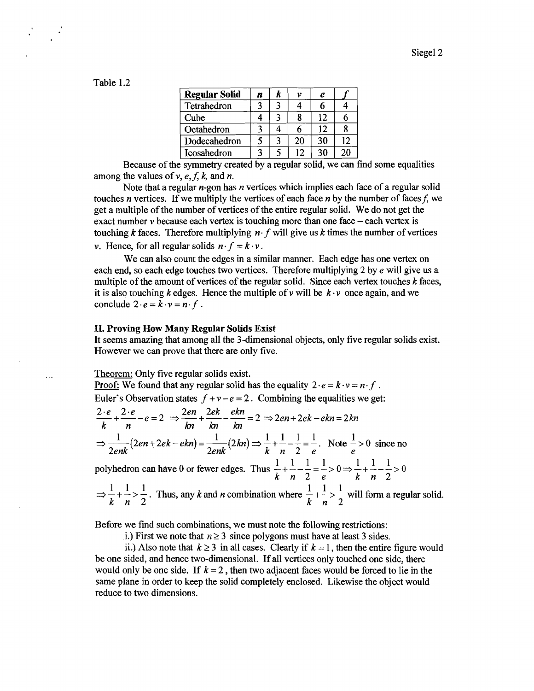| Table 1 |  |
|---------|--|
|---------|--|

 $\ddotsc$ 

| <b>Regular Solid</b> | n | k | v  | e  |    |
|----------------------|---|---|----|----|----|
| Tetrahedron          |   |   |    | n  |    |
| Cube                 |   |   |    | 12 | h  |
| Octahedron           |   |   |    | 12 | 8  |
| Dodecahedron         |   |   | 20 | 30 | 12 |
| Icosahedron          |   |   | 12 | 30 | 20 |

Because of the symmetry created by a regular solid, we can find some equalities among the values of  $v, e, f, k$ , and *n*.

Note that a regular n-gon has *n* vertices which implies each face of a regular solid touches *n* vertices. If we multiply the vertices of each face *n* by the number of facesf, we get a multiple of the number of vertices of the entire regular solid. We do not get the exact number  $\nu$  because each vertex is touching more than one face  $-\text{each}$  vertex is touching  $k$  faces. Therefore multiplying  $n \cdot f$  will give us  $k$  times the number of vertices *v***. Hence, for all regular solids**  $n \cdot f = k \cdot v$ **.** 

We can also count the edges in a similar manner. Each edge has one vertex on each end, so each edge touches two vertices. Therefore multiplying *2* by *e* will give us a multiple of the amount of vertices of the regular solid. Since each vertex touches *k* faces, it is also touching *k* edges. Hence the multiple of v will be *k* **-v** once again, and we conclude  $2 \cdot e = k \cdot v = n \cdot f$ .

# **11. Proving How Many Regular Solids Exist**

It seems amazing that among all the 3-dimensional objects, only five regular solids exist. However we can prove that there are only five.

Theorem: Only five regular solids exist.

Proof: We found that any regular solid has the equality  $2 \cdot e = k \cdot v = n \cdot f$ .

Euler's Observation states  $f + v - e = 2$ . Combining the equalities we get:

$$
\frac{2 \cdot e}{k} + \frac{2 \cdot e}{n} - e = 2 \implies \frac{2en}{kn} + \frac{2ek}{kn} - \frac{ekn}{kn} = 2 \implies 2en + 2ek - ekn = 2kn
$$
  

$$
\implies \frac{1}{2enk} (2en + 2ek - ekn) = \frac{1}{2enk} (2kn) \implies \frac{1}{k} + \frac{1}{n} - \frac{1}{2} = \frac{1}{e}. \text{ Note } \frac{1}{e} > 0 \text{ since no}
$$

2e nK  
\npolyhedron can have 0 or fewer edges. Thus 
$$
\frac{1}{k} + \frac{1}{n} - \frac{1}{2} = \frac{1}{e} > 0 \Rightarrow \frac{1}{k} + \frac{1}{n} - \frac{1}{2} > 0
$$
  
\n $\Rightarrow \frac{1}{k} + \frac{1}{n} > \frac{1}{2}$ . Thus, any k and n combination where  $\frac{1}{k} + \frac{1}{n} > \frac{1}{2}$  will form a regular solid.

Before we find such combinations, we must note the following restrictions:

i.) First we note that  $n \geq 3$  since polygons must have at least 3 sides.

ii.) Also note that  $k \geq 3$  in all cases. Clearly if  $k = 1$ , then the entire figure would be one sided, and hence two-dimensional. If all vertices only touched one side, there would only be one side. If  $k = 2$ , then two adjacent faces would be forced to lie in the same plane in order to keep the solid completely enclosed. Likewise the object would reduce to two dimensions.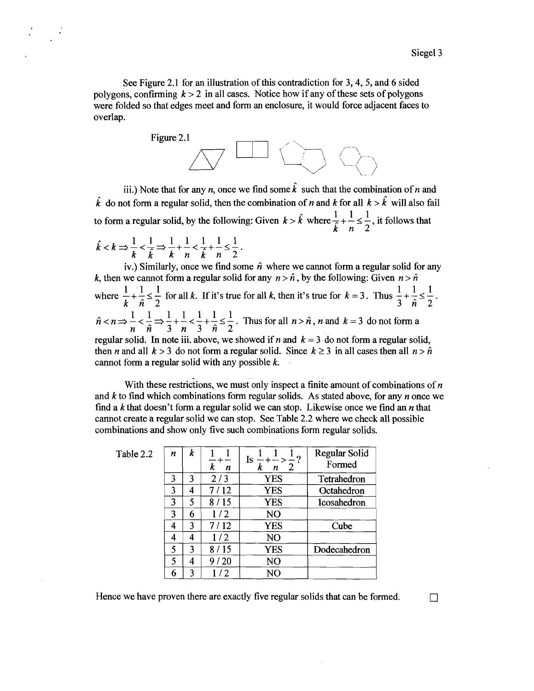See Figure 2.1 for an illustration of this contradiction for 3,4,5, and 6 sided polygons, confirming  $k > 2$  in all cases. Notice how if any of these sets of polygons were folded so that edges meet and form an enclosure, it would force adjacent faces to overlap.



iii.) Note that for any *n*, once we find some  $\hat{k}$  such that the combination of *n* and  $\hat{k}$  do not form a regular solid, then the combination of n and k for all  $k > \hat{k}$  will also fail  $1, 1, 1, ...$ iii.) Note that for any *n*, once we find some  $\hat{k}$  such that the combination of *n* and  $\hat{k}$  do not form a regular solid, then the combination of *n* and  $k$  for all  $k > \hat{k}$  will also fat to form a regular solid, by

$$
\hat{k} < k \Rightarrow \frac{1}{k} < \frac{1}{k} \Rightarrow \frac{1}{k} + \frac{1}{n} < \frac{1}{k} + \frac{1}{n} \leq \frac{1}{2} \, .
$$

iv.) Similarly, once we find some  $\hat{n}$  where we cannot form a regular solid for any k, then we cannot form a regular solid for any  $n > \hat{n}$ , by the following: Given  $n > \hat{n}$ where  $\frac{1}{1} + \frac{1}{2} \le \frac{1}{2}$  for all k. If it's true for all k, then it's true for  $k = 3$ . Thus  $\frac{1}{2} + \frac{1}{2} \le \frac{1}{2}$ . k  $\hat{n}$  2 3  $\hat{n}$  2  $\hat{n} < n \Rightarrow \frac{1}{\epsilon} < \frac{1}{\epsilon} \Rightarrow \frac{1}{\epsilon} + \frac{1}{\epsilon} < \frac{1}{\epsilon} + \frac{1}{\epsilon} \leq \frac{1}{\epsilon}$ . Thus for all  $n > \hat{n}$ , n and  $k = 3$  do not form a n *î* 3 n 3 *î* 2 regular solid. In note iii. above, we showed if n and  $k = 3$  do not form a regular solid, then n and all  $k > 3$  do not form a regular solid. Since  $k \ge 3$  in all cases then all  $n > \hat{n}$ cannot form a regular solid with any possible  $k$ .

With these restrictions, we must only inspect a finite amount of combinations of  $n$ and k to find which combinations form regular solids. As stated above, for any **n** once we find a  $k$  that doesn't form a regular solid we can stop. Likewise once we find an  $n$  that cannot create a regular solid we can stop. See Table 2.2 where we check all possible combinations and show only five such combinations form regular solids.

Table 2.2

| 2 | n | k | k<br>n | $Is - + - > -$ ?<br>k<br>2<br>n | Regular Solid<br>Formed |
|---|---|---|--------|---------------------------------|-------------------------|
|   | 3 | 3 | 2/3    | <b>YES</b>                      | Tetrahedron             |
|   | 3 | 4 | 7/12   | <b>YES</b>                      | Octahedron              |
|   | 3 | 5 | 8/15   | <b>YES</b>                      | Icosahedron             |
|   | 3 | 6 | 1/2    | NO                              |                         |
|   | 4 | 3 | 7/12   | <b>YES</b>                      | Cube                    |
|   | 4 | 4 | 1/2    | NO                              |                         |
|   | 5 | 3 | 8/15   | <b>YES</b>                      | Dodecahedron            |
|   | 5 | 4 | 9/20   | NO                              |                         |
|   | 6 | ٦ | 12.    | NO                              |                         |

Hence we have proven there are exactly five regular solids that can be formed.

 $\Box$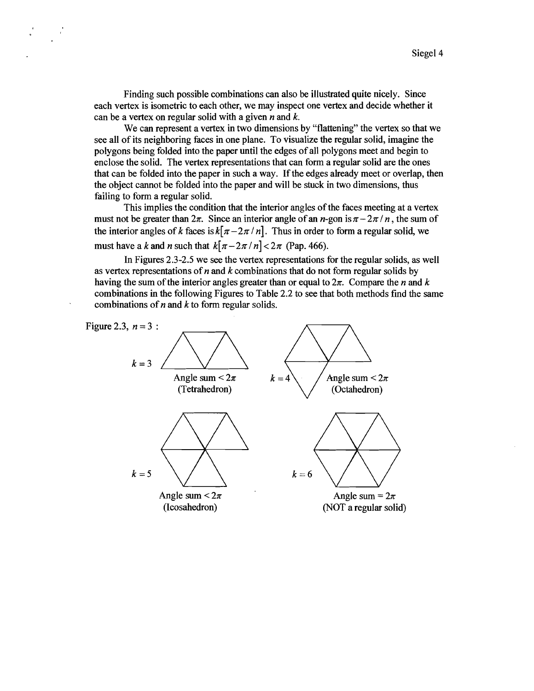Finding such possible combinations can also be illustrated quite nicely. Since each vertex is isometric to each other, we may inspect one vertex and decide whether it can be a vertex on regular solid with a given n and *k.* 

We can represent a vertex in two dimensions by "flattening" the vertex so that we see all of its neighboring faces in one plane. To visualize the regular solid, imagine the polygons being folded into the paper until the edges of all polygons meet and begin to enclose the solid. The vertex representations that can form a regular solid are the ones that can be folded into the paper in such a way. If the edges already meet or overlap, then the object cannot be folded into the paper and will be stuck in two dimensions, thus failing to form a regular solid.

This implies the condition that the interior angles of the faces meeting at a vertex must not be greater than  $2\pi$ . Since an interior angle of an *n*-gon is  $\pi - 2\pi / n$ , the sum of the interior angles of *k* faces is  $k[\pi - 2\pi / n]$ . Thus in order to form a regular solid, we must have a *k* and *n* such that  $k[\pi - 2\pi / n] < 2\pi$  (Pap. 466).

In Figures *2.3-2.5* we see the vertex representations for the regular solids, **as** well **as** vertex representations of n and *k* combinations that do not form regular solids by having the sum of the interior angles greater than or equal to  $2\pi$ . Compare the n and k combinations in the following Figures to Table 2.2 to see that both methods find the same combinations of  $n$  and  $k$  to form regular solids.

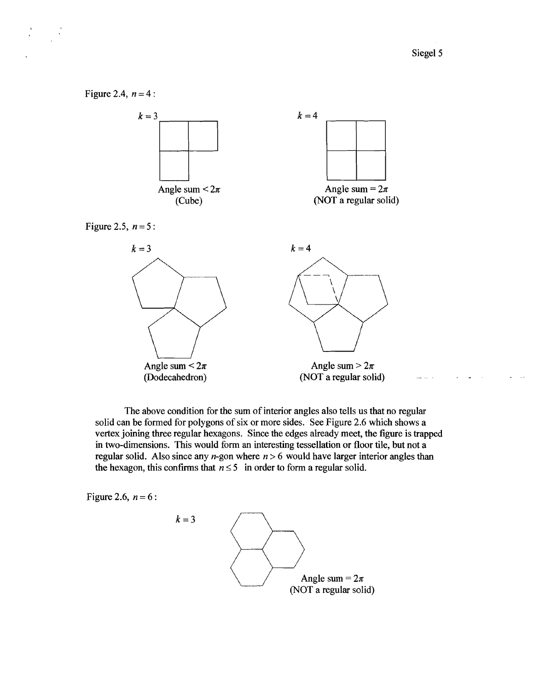

The above condition for the sum of interior angles also tells us that no regular solid can be formed for polygons of six or more sides. See Figure 2.6 which shows a vertex joining three regular hexagons. Since the edges already meet, the figure is trapped in two-dimensions. This would form an interesting tessellation or floor tile, but not a regular solid. Also since any *n*-gon where  $n > 6$  would have larger interior angles than the hexagon, this confirms that  $n \leq 5$  in order to form a regular solid.

Figure 2.6,  $n = 6$ :

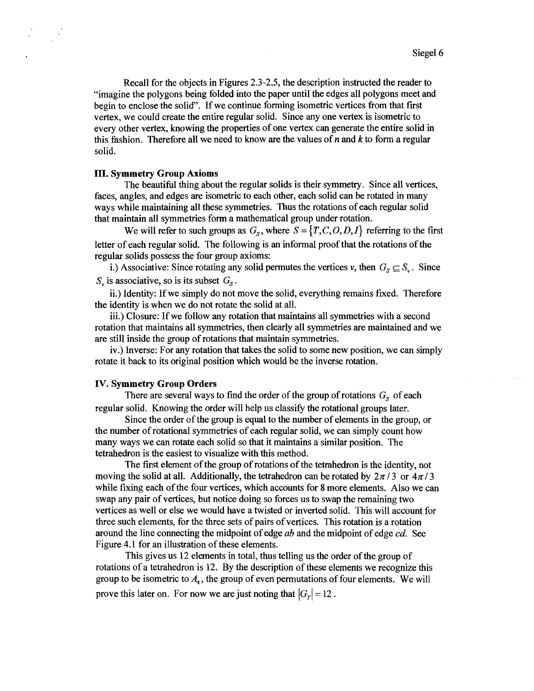Recall for the objects in Figures 2.3-2.5, the description instructed the reader to "imagine the polygons being folded into the paper until the edges all polygons meet and begin to enclose the solid". If we continue forming isometric vertices from that first vertex, we could create the entire regular solid. Since any one vertex is isometric to every other vertex, knowing the properties of one vertex can generate the entire solid in this fashion. Therefore all we need to know are the values of  $n$  and  $k$  to form a regular solid.

## **In. Symmetry Group Axioms**

The beautiful thing about the regular solids is their symmetry. Since all vertices, faces, angles, and edges are isometric to each other, each solid can be rotated in many ways while maintaining all these symmetries. Thus the rotations of each regular solid that maintain all symmetries form a mathematical group under rotation.

We will refer to such groups as  $G_s$ , where  $S = \{T, C, O, D, I\}$  referring to the first letter of each regular solid. The following is an informal proof that the rotations of the regular solids possess the four group axioms:

i.) Associative: Since rotating any solid permutes the vertices v, then  $G_s \subseteq S_v$ . Since  $S<sub>v</sub>$  is associative, so is its subset  $G<sub>s</sub>$ .

ii.) Identity: If we simply do not move the solid, everything remains fixed. Therefore the identity is when we do not rotate the solid at all.

iii.) Closure: If we follow any rotation that maintains all symmetries with a second rotation that maintains all symmetries, then clearly all symmetries are maintained and we are still inside the group of rotations that maintain symmetries.

iv.) Inverse: For any rotation that takes the solid to some new position, we can simply rotate it back to its original position which would be the inverse rotation.

### **IV. Symmetry Group Orders**

There are several ways to find the order of the group of rotations  $G_s$  of each regular solid. Knowing the order will help us classify the rotational groups later.

Since the order of the group is equal to the number of elements in the group, or the number of rotational symmetries of each regular solid, we can simply count how many ways we can rotate each solid so that it maintains a similar position. The tetrahedron is the easiest to visualize with this method.

The first element of the group of rotations of the tetrahedron is the identity, not moving the solid at all. Additionally, the tetrahedron can be rotated by  $2\pi/3$  or  $4\pi/3$ while fixing each of the four vertices, which accounts for 8 more elements. Also we can swap any pair of vertices, but notice doing so forces us to swap the remaining two vertices as well or else we would have a twisted or inverted solid. This will account for three such elements, for the three sets of pairs of vertices. This rotation is a rotation around the line connecting the midpoint of edge *ab* and the midpoint of edge *cd.* See Figure 4.1 for an illustration of these elements.

This gives us 12 elements in total, thus telling us the order of the group of rotations of a tetrahedron is 12. By the description of these elements we recognize this group to be isometric to  $A<sub>4</sub>$ , the group of even permutations of four elements. We will prove this later on. For now we are just noting that  $|G<sub>T</sub>| = 12$ .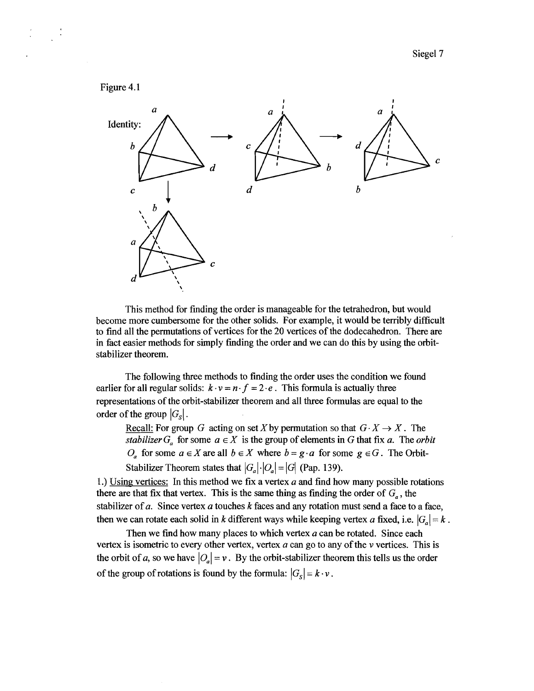

This method for finding the order is manageable for the tetrahedron, but would become more cumbersome for the other solids. For example, it would be terribly difficult to find all the permutations of vertices for the 20 vertices of the dodecahedron. There are in fact easier methods for simply finding the order and we can do this by using the orbitstabilizer theorem.

The following three methods to finding the order uses the condition we found earlier for all regular solids:  $k \cdot v = n \cdot f = 2 \cdot e$ . This formula is actually three representations of the orbit-stabilizer theorem and all three formulas are equal to the order of the group  $|G_{\rm s}|$ .

Recall: For group G acting on set X by permutation so that  $G \cdot X \to X$ . The *stabilizer*  $G_a$  for some  $a \in X$  is the group of elements in G that fix a. The *orbit* O<sub>a</sub> for some  $a \in X$  are all  $b \in X$  where  $b = g \cdot a$  for some  $g \in G$ . The Orbit-Stabilizer Theorem states that  $|G_a| \cdot |O_a| = |G|$  (Pap. 139).

1.) Using vertices: In this method we fix a vertex  $a$  and find how many possible rotations there are that fix that vertex. This is the same thing as finding the order of  $G_{\sigma}$ , the stabilizer of *a.* Since vertex *a* touches k faces and any rotation must send a face to a face, then we can rotate each solid in k different ways while keeping vertex a fixed, i.e.  $|G_a| = k$ .

Then we find how many places to which vertex *a* can be rotated. Since each vertex is isometric to every other vertex, vertex *a* can go to any of the v vertices. This is the orbit of a, so we have  $|O_a| = v$ . By the orbit-stabilizer theorem this tells us the order of the group of rotations is found by the formula:  $|G_s| = k \cdot v$ .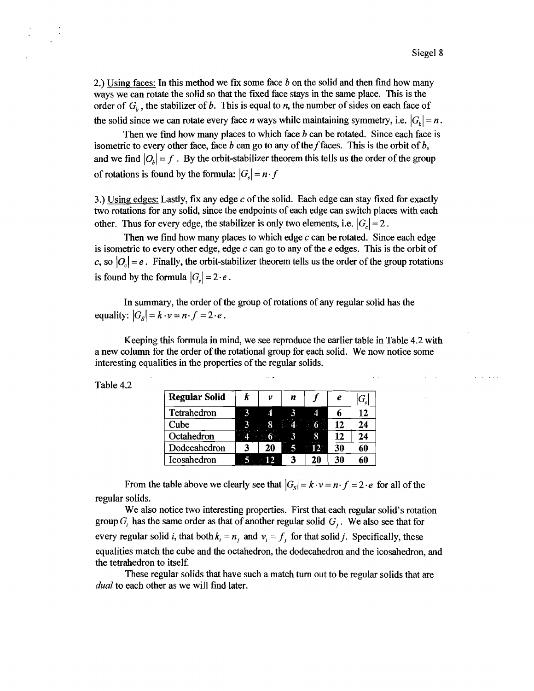and a state

**2.)** Using faces: In this method we fix some face b on the solid and then find how many ways we can rotate the solid so that the fixed face stays in the same place. This is the order of  $G_b$ , the stabilizer of *b*. This is equal to *n*, the number of sides on each face of the solid since we can rotate every face *n* ways while maintaining symmetry, i.e.  $|G_k| = n$ .

Then we find how many places to which face  $b$  can be rotated. Since each face is isometric to every other face, face b can go to any of the f faces. This is the orbit of b, and we find  $|O_k| = f$ . By the orbit-stabilizer theorem this tells us the order of the group of rotations is found by the formula:  $|G_s| = n \cdot f$ 

3.) Using edges: Lastly, fix any edge  $c$  of the solid. Each edge can stay fixed for exactly two rotations for any solid, since the endpoints of each edge can switch places with each other. Thus for every edge, the stabilizer is only two elements, i.e.  $|G_{\zeta}| = 2$ .

Then we find how many places to which edge  $c$  can be rotated. Since each edge is isometric to every other edge, edge c can go to any of the **e** edges. This is the orbit of c, so  $|O_c| = e$ . Finally, the orbit-stabilizer theorem tells us the order of the group rotations is found by the formula  $|G_s| = 2 \cdot e$ .

In summary, the order of the group of rotations of any regular solid has the equality:  $|G_s| = k \cdot v = n \cdot f = 2 \cdot e$ .

Keeping this formula in mind, we see reproduce the earlier table in Table **4.2** with a new column for the order of the rotational group for each solid. We now notice some interesting equalities in the properties of the regular solids.

.. -

| <b>Regular Solid</b> | k | v  | n |        | e  | $ G_{\!s} $ |
|----------------------|---|----|---|--------|----|-------------|
| Tetrahedron          |   |    |   |        |    | 12          |
| Cube                 |   |    |   | $6 -$  | 12 | 24          |
| Octahedron           |   |    |   | 8      | 12 | 24          |
| Dodecahedron         | ર | 20 |   | $\P p$ | 30 | 60          |
| Icosahedron          |   | 12 |   | 20     | 30 | 60          |

Table **4.2** 

From the table above we clearly see that  $|G_s| = k \cdot v = n \cdot f = 2 \cdot e$  for all of the regular solids.

We also notice two interesting properties. First that each regular solid's rotation group  $G_i$  has the same order as that of another regular solid  $G_i$ . We also see that for every regular solid *i*, that both  $k_i = n_j$  and  $v_i = f_j$  for that solid *j*. Specifically, these equalities match the cube and the octahedron, the dodecahedron and the icosahedron, and the tetrahedron to itself.

These regular solids that have such a match turn out to be regular solids that are dual to each other as we will find later.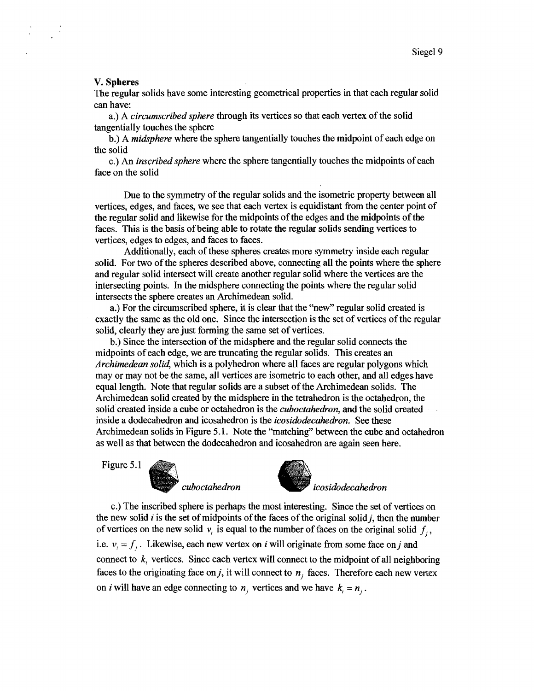### V. Spheres

The regular solids have some interesting geometrical properties in that each regular solid can have:

a,) A circumscribed sphere through its vertices so that each vertex of the solid tangentially touches the sphere

b.) A midsphere where the sphere tangentially touches the midpoint of each edge on the solid

c.) An inscribed sphere where the sphere tangentially touches the midpoints of each face on the solid

Due to the symmetry of the regular solids and the isometric property between all vertices, edges, and faces, we see that each vertex is equidistant fiom the center point of the regular solid and likewise for the midpoints of the edges and the midpoints of the faces. This is the basis of being able to rotate the regular solids sending vertices to vertices, edges to edges, and faces to faces.

Additionally, each of these spheres creates more symmetry inside each regular solid. For two of the spheres described above, connecting all the points where the sphere and regular solid intersect will create another regular solid where the vertices are the intersecting points. In the midsphere connecting the points where the regular solid intersects the sphere creates an Archimedean solid.

a.) For the circumscribed sphere, it is clear that the "new" regular solid created is exactly the same as the old one. Since the intersection is the set of vertices of the regular solid, clearly they are just forming the same set of vertices.

b.) Since the intersection of the midsphere and the regular solid connects the midpoints of each edge, we are truncating the regular solids. This creates an Archimedean solid, which is a polyhedron where all faces are regular polygons which may or may not be the same, all vertices are isometric to each other, and all edges have equal length. Note that regular solids are a subset of the Archirnedean solids. The Archimedean solid created by the midsphere in the tetrahedron is the octahedron, the solid created inside a cube or octahedron is the *cuboctahedron*, and the solid created inside a dodecahedron and icosahedron is the *icosidodecahedron*. See these Archirnedean solids in Figure 5.1. Note the "matching" between the cube and octahedron as well as that between the dodecahedron and icosahedron are again seen here.

Figure 5.1





cuboctahedron icosidodecahedron

c.) The inscribed sphere is perhaps the most interesting. Since the set of vertices on the new solid  $i$  is the set of midpoints of the faces of the original solid  $j$ , then the number of vertices on the new solid  $v_i$  is equal to the number of faces on the original solid  $f_i$ , i.e.  $v_i = f_i$ . Likewise, each new vertex on i will originate from some face on j and connect to  $k_i$  vertices. Since each vertex will connect to the midpoint of all neighboring faces to the originating face on j, it will connect to  $n_i$  faces. Therefore each new vertex on *i* will have an edge connecting to  $n_i$ , vertices and we have  $k_i = n_i$ .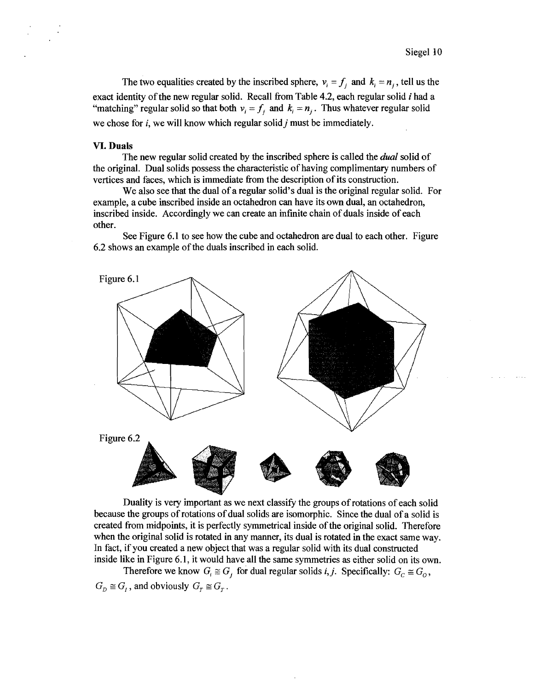The two equalities created by the inscribed sphere,  $v_i = f_i$  and  $k_i = n_i$ , tell us the exact identity of the new regular solid. Recall from Table 4.2, each regular solid  $i$  had a "matching" regular solid so that both  $v_i = f_i$  and  $k_i = n_i$ . Thus whatever regular solid we chose for i, we will know which regular solid *j* must be immediately.

## **VI. Duals**

The new regular solid created by the inscribed sphere is called the *dual* solid of the original. Dual solids possess the characteristic of having complimentary numbers of vertices and faces, which is immediate from the description of its construction.

We also see that the dual of a regular solid's dual is the original regular solid. For example, a cube inscribed inside an octahedron can have its own dual, an octahedron, inscribed inside. Accordingly we can create an infinite chain of duals inside of each other.

See Figure **6.1** to see how the cube and octahedron are dual to each other. Figure **6.2** shows an example of the duals inscribed in each solid.



Duality is very important as we next classify the groups of rotations of each solid because the groups of rotations of dual solids are isomorphic. Since the dual of a solid is created fiom midpoints, it is perfectly symmetrical inside of the original solid. Therefore when the original solid is rotated in any manner, its dual is rotated in the exact same way. In fact, if you created a new object that was a regular solid with its dual constructed inside like in Figure **6.1,** it would have all the same symmetries as either solid on its own.

Therefore we know  $G_i \cong G_j$  for dual regular solids *i*, *j*. Specifically:  $G_c \cong G_o$ ,  $G_p \cong G_i$ , and obviously  $G_r \cong G_r$ .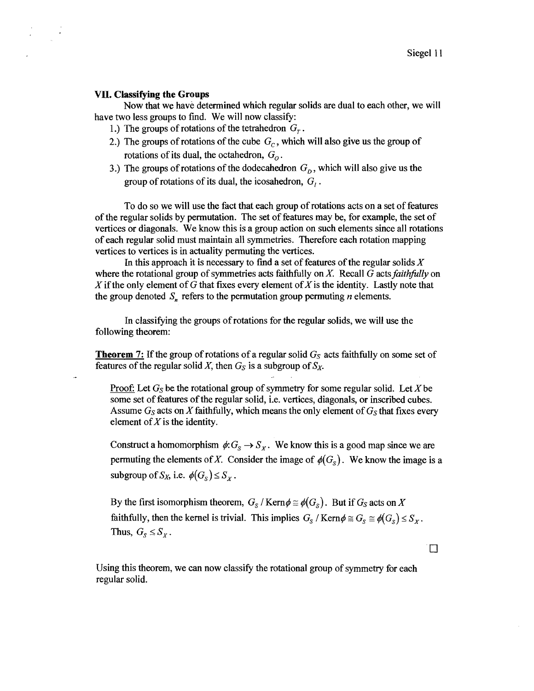# **VII. Classifying the Groups**

Now that we have determined which regular solids are dual to each other, we will have two less groups to find. We will now classify:

- 1.) The groups of rotations of the tetrahedron  $G_r$ .
- 2.) The groups of rotations of the cube  $G<sub>C</sub>$ , which will also give us the group of rotations of its dual, the octahedron,  $G<sub>o</sub>$ .
- 3.) The groups of rotations of the dodecahedron  $G<sub>D</sub>$ , which will also give us the group of rotations of its dual, the icosahedron,  $G_i$ .

To do so we will use the fact that each group of rotations acts on a set of features of the regular solids by permutation. The set of features may be, for example, the set of vertices or diagonals. We know this is a group action on such elements since all rotations of each regular solid must maintain all symmetries. Therefore each rotation mapping vertices to vertices is in actuality permuting the vertices.

In this approach it is necessary to find a set of features of the regular solids X where the rotational group of symmetries acts faithfully on X. Recall G acts *faithhlly* on X if the only element of G that fixes every element of X is the identity. Lastly note that the group denoted  $S_n$  refers to the permutation group permuting *n* elements.

In classifying the groups of rotations for the regular solids, we will use the following theorem:

**Theorem 7:** If the group of rotations of a regular solid  $G<sub>S</sub>$  acts faithfully on some set of features of the regular solid X, then  $G<sub>S</sub>$  is a subgroup of  $S<sub>X</sub>$ .

Proof: Let  $G_S$  be the rotational group of symmetry for some regular solid. Let X be some set of features of the regular solid, i.e. vertices, diagonals, or inscribed cubes. Assume  $G_S$  acts on X faithfully, which means the only element of  $G_S$  that fixes every element of  $X$  is the identity.

Construct a homomorphism  $\phi: G_S \to S_X$ . We know this is a good map since we are permuting the elements of X. Consider the image of  $\phi(G_S)$ . We know the image is subgroup of  $S_X$ , i.e.  $\phi(G_S) \leq S_X$ . permuting the elements of X. Consider the image of  $\phi(G_{\rm s})$ . We know the image is a

By the first isomorphism theorem,  $G_s / \text{Kern} \phi \cong \phi(G_s)$ . But if  $G_s$  acts on X faithfully, then the kernel is trivial. This implies  $G_s / \text{Kern} \phi \cong G_s \cong \phi(G_s) \leq S_x$ . Thus,  $G_s \leq S_X$ .

 $\Box$ 

Using this theorem, we can now classify the rotational group of symmetry for each regular solid.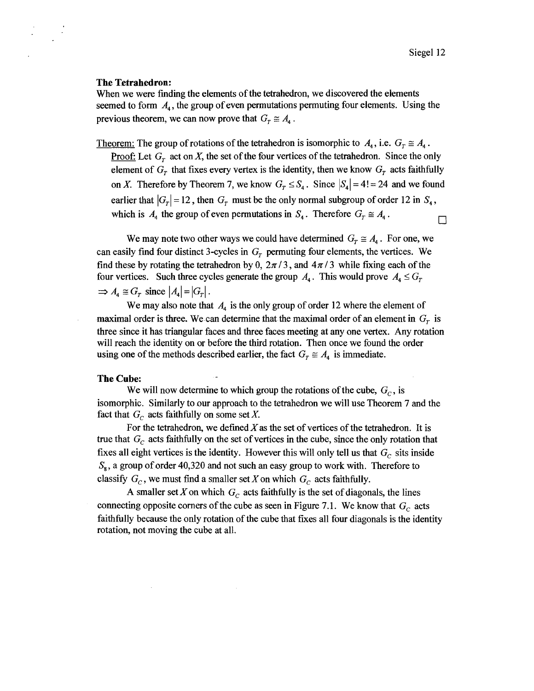#### **The Tetrahedron:**

When we were finding the elements of the tetrahedron, we discovered the elements seemed to form  $A_4$ , the group of even permutations permuting four elements. Using the previous theorem, we can now prove that  $G_r \cong A_4$ .

Theorem: The group of rotations of the tetrahedron is isomorphic to  $A_4$ , i.e.  $G_r \cong A_4$ . **Proof:** Let  $G_r$  act on X, the set of the four vertices of the tetrahedron. Since the only element of  $G_r$  that fixes every vertex is the identity, then we know  $G_r$  acts faithfully on X. Therefore by Theorem 7, we know  $G_r \leq S_4$ . Since  $|S_4| = 4! = 24$  and we found earlier that  $|G_r|=12$ , then  $G_r$  must be the only normal subgroup of order 12 in  $S_4$ , which is  $A_4$  the group of even permutations in  $S_4$ . Therefore  $G_T \cong A_4$ .  $\Box$ 

We may note two other ways we could have determined  $G_r \cong A_4$ . For one, we can easily find four distinct 3-cycles in  $G_r$  permuting four elements, the vertices. We find these by rotating the tetrahedron by 0,  $2\pi/3$ , and  $4\pi/3$  while fixing each of the four vertices. Such three cycles generate the group  $A_4$ . This would prove  $A_4 \leq G_7$  $\Rightarrow$   $A_4 \cong G_r$  since  $|A_4| = |G_r|$ .

We may also note that  $A_4$  is the only group of order 12 where the element of maximal order is three. We can determine that the maximal order of an element in  $G<sub>r</sub>$  is three since it has triangular faces and three faces meeting at any one vertex. Any rotation will reach the identity on or before the third rotation. Then once we found the order using one of the methods described earlier, the fact  $G_T \cong A_4$  is immediate.

# **The Cube:**

We will now determine to which group the rotations of the cube,  $G_c$ , is isomorphic. Similarly to our approach to the tetrahedron we will use Theorem 7 and the fact that  $G_c$  acts faithfully on some set X.

For the tetrahedron, we defined  $X$  as the set of vertices of the tetrahedron. It is true that  $G_c$  acts faithfully on the set of vertices in the cube, since the only rotation that fixes all eight vertices is the identity. However this will only tell us that  $G_c$  sits inside  $S_8$ , a group of order 40,320 and not such an easy group to work with. Therefore to classify  $G_c$ , we must find a smaller set X on which  $G_c$  acts faithfully.

A smaller set X on which  $G_c$  acts faithfully is the set of diagonals, the lines connecting opposite corners of the cube as seen in Figure 7.1. We know that  $G_c$  acts faithhlly because the only rotation of the cube that fixes all four diagonals is the identity rotation, not moving the cube at all.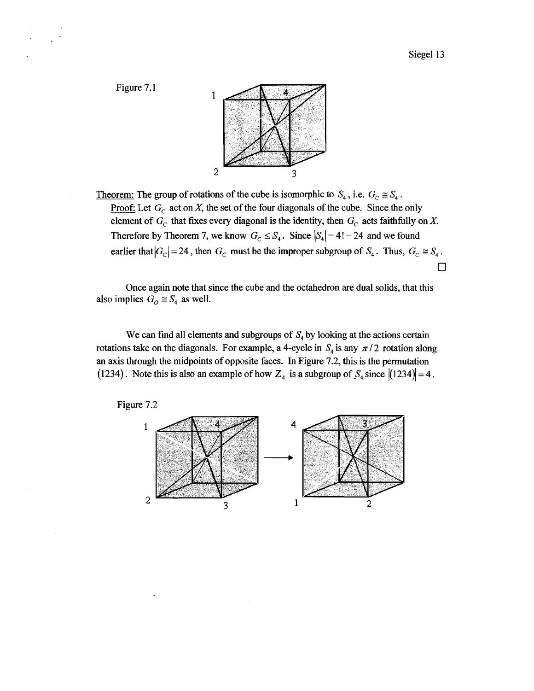

Theorem: The group of rotations of the cube is isomorphic to  $S_4$ , i.e.  $G_C \cong S_4$ . Proof: Let  $G_c$  act on X, the set of the four diagonals of the cube. Since the only element of  $G_C$  that fixes every diagonal is the identity, then  $G_C$  acts faithfully on X.<br>Therefore by Theorem 7, we know  $G_C \leq S_4$ . Since  $|S_4| = 4! = 24$  and we found earlier that  $|G_C| = 24$ , then  $G_C$  must be the impr Therefore by Theorem 7, we know  $G_C \leq S_4$ . Since  $|S_4| = 4! = 24$  and we found

Once again note that since the cube and the octahedron are dual solids, that this also implies  $G_0 \cong S_4$  as well.

We can find all elements and subgroups of  $S<sub>4</sub>$  by looking at the actions certain rotations take on the diagonals. For example, a 4-cycle in  $S<sub>4</sub>$  is any  $\pi/2$  rotation along an axis through the midpoints of opposite faces. In Figure 7.2, this is the permutation (1234). Note this is also an example of how  $Z_4$  is a subgroup of  $S_4$  since  $|(1234)|=4$ .



3

 $\overline{2}$ 

Figure 7.1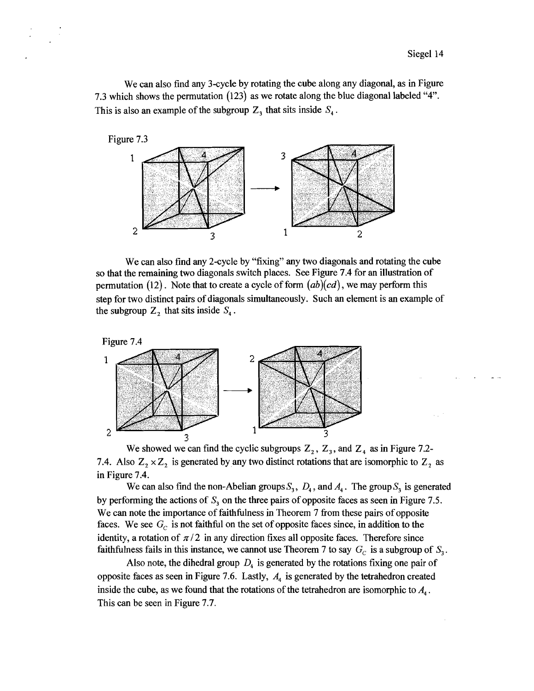We can also find any 3-cycle by rotating the cube along any diagonal, as in Figure 7.3 which shows the permutation (123) as we rotate along the blue diagonal labeled "4". This is also an example of the subgroup  $Z_3$  that sits inside  $S_4$ .



We can also find any 2-cycle by "fixing" any two diagonals and rotating the cube so that the remaining two diagonals switch places. See Figure 7.4 for an illustration of permutation  $(12)$ . Note that to create a cycle of form  $(ab)(cd)$ , we may perform this step for two distinct pairs of diagonals simultaneously. Such an element is an example of the subgroup  $Z_2$  that sits inside  $S_4$ .



We showed we can find the cyclic subgroups  $Z_2$ ,  $Z_3$ , and  $Z_4$  as in Figure 7.2-7.4. Also  $Z_2 \times Z_2$  is generated by any two distinct rotations that are isomorphic to  $Z_2$  as in Figure 7.4.

We can also find the non-Abelian groups  $S_3$ ,  $D_4$ , and  $A_4$ . The group  $S_3$  is generated by performing the actions of *S,* on the three pairs of opposite faces as seen in Figure 7.5. We can note the importance of faithfulness in Theorem 7 from these pairs of opposite faces. We see  $G_c$  is not faithful on the set of opposite faces since, in addition to the identity, a rotation of  $\pi/2$  in any direction fixes all opposite faces. Therefore since faithfulness fails in this instance, we cannot use Theorem 7 to say  $G_c$  is a subgroup of  $S_3$ .

Also note, the dihedral group  $D_4$  is generated by the rotations fixing one pair of opposite faces as seen in Figure 7.6. Lastly, *A4* is generated by the tetrahedron created inside the cube, as we found that the rotations of the tetrahedron are isomorphic to  $A_4$ . This can be seen in Figure 7.7.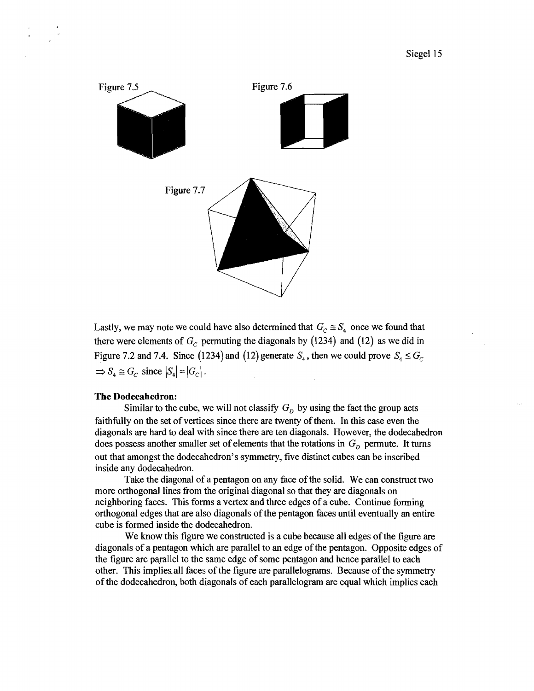

Lastly, we may note we could have also determined that  $G_c \cong S_4$  once we found that there were elements of  $G_c$  permuting the diagonals by (1234) and (12) as we did in Figure 7.2 and 7.4. Since (1234) and (12) generate  $S_4$ , then we could prove  $S_4 \le G_c$  $\Rightarrow S_4 \cong G_C$  since  $|S_4| = |G_C|$ .

# **The Dodecahedron:**

Similar to the cube, we will not classify  $G<sub>D</sub>$  by using the fact the group acts faithfully on the set of vertices since there are twenty of them. In this case even the diagonals are hard to deal with since there are ten diagonals. However, the dodecahedron does possess another smaller set of elements that the rotations in  $G_D$  permute. It turns out that amongst the dodecahedron's symmetry, five distinct cubes can be inscribed inside any dodecahedron.

Take the diagonal of a pentagon on any face of the solid. We can construct two more orthogonal lines fiom the original diagonal so that they are diagonals on neighboring faces. This forms a vertex and three edges of a cube. Continue forming orthogonal edges that are also diagonals of the pentagon faces until eventually an entire cube is formed inside the dodecahedron.

We know this figure we constructed is a cube because all edges of the figure are diagonals of a pentagon which are parallel to an edge of the pentagon. Opposite edges of the figure are pqrallel to the same edge of some pentagon and hence parallel to each other. This impliesall faces of the figure are parallelograms. Because of the symmetry of the dodecahedron, both diagonals of each parallelogram are equal which implies each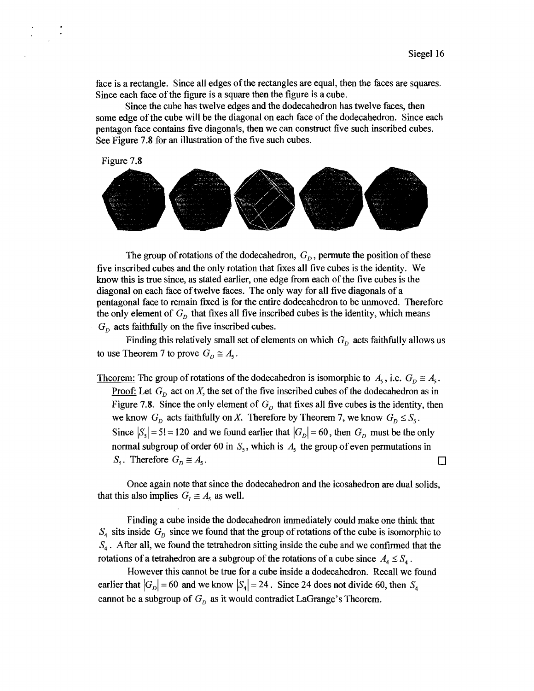face is a rectangle. Since all edges of the rectangles are equal, then the faces are squares. Since each face of the figure is a square then the figure is a cube.

Since the cube has twelve edges and the dodecahedron has twelve faces, then some edge of the cube will be the diagonal on each face of the dodecahedron. Since each pentagon face contains five diagonals, then we can construct five such inscribed cubes. See Figure **7.8** for an illustration of the five such cubes.

Figure **7.8** 



The group of rotations of the dodecahedron,  $G<sub>p</sub>$ , permute the position of these five inscribed cubes and the only rotation that fixes all five cubes is the identity. We know this is true since, **as** stated earlier, one edge fiom each of the five cubes is the diagonal on each face of twelve faces. The only way for all five diagonals of a pentagonal face to remain fixed is for the entire dodecahedron to be unmoved. Therefore the only element of  $G_p$  that fixes all five inscribed cubes is the identity, which means  $G_n$  acts faithfully on the five inscribed cubes.

Finding this relatively small set of elements on which  $G<sub>D</sub>$  acts faithfully allows us to use Theorem 7 to prove  $G_p \cong A_5$ .

Theorem: The group of rotations of the dodecahedron is isomorphic to  $A_5$ , i.e.  $G_D \cong A_5$ . Proof: Let **G,** act on X, the set of the five inscribed cubes of the dodecahedron **as** in Figure 7.8. Since the only element of  $G<sub>p</sub>$  that fixes all five cubes is the identity, then we know  $G_p$  acts faithfully on X. Therefore by Theorem 7, we know  $G_p \leq S_s$ . Since  $|S_5| = 5! = 120$  and we found earlier that  $|G_D| = 60$ , then  $G_D$  must be the only normal subgroup of order 60 in  $S_5$ , which is  $A_5$  the group of even permutations in  $S_5$ . Therefore  $G_D \cong A_5$ . □

Once again note that since the dodecahedron and the icosahedron are dual solids, that this also implies  $G_i \cong A_5$  as well.

Finding a cube inside the dodecahedron immediately could make one think that  $S_4$  sits inside  $G_D$  since we found that the group of rotations of the cube is isomorphic to **S4** . After all, we found the tetrahedron sitting inside the cube and we confirmed that the rotations of a tetrahedron are a subgroup of the rotations of a cube since  $A_4 \leq S_4$ .

However this cannot be true for a cube inside a dodecahedron. Recall we found earlier that  $|G_D| = 60$  and we know  $|S_4| = 24$ . Since 24 does not divide 60, then  $S_4$ cannot be a subgroup of  $G<sub>D</sub>$  as it would contradict LaGrange's Theorem.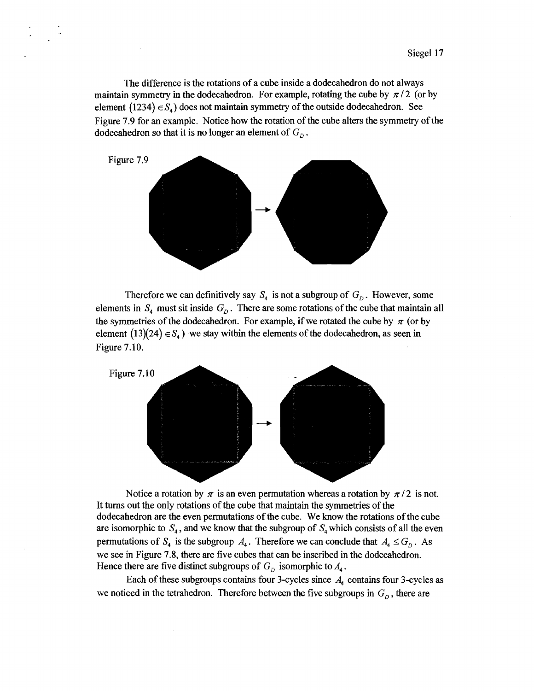The difference is the rotations of a cube inside a dodecahedron do not always maintain symmetry in the dodecahedron. For example, rotating the cube by  $\pi/2$  (or by element  $(1234) \in S_4$ ) does not maintain symmetry of the outside dodecahedron. See Figure 7.9 for an example. Notice how the rotation of the cube alters the symmetry of the dodecahedron so that it is no longer an element of  $G<sub>n</sub>$ .



Therefore we can definitively say  $S_4$  is not a subgroup of  $G_D$ . However, some elements in  $S_4$  must sit inside  $G_D$ . There are some rotations of the cube that maintain all the symmetries of the dodecahedron. For example, if we rotated the cube by  $\pi$  (or by element  $(13)(24) \in S_4$ ) we stay within the elements of the dodecahedron, as seen in Figure 7.10.



Notice a rotation by  $\pi$  is an even permutation whereas a rotation by  $\pi/2$  is not. It turns out the only rotations of the cube that maintain the symmetries of the dodecahedron are the even permutations of the cube. We know the rotations of the cube are isomorphic to  $S_4$ , and we know that the subgroup of  $S_4$  which consists of all the even permutations of  $S_4$  is the subgroup  $A_4$ . Therefore we can conclude that  $A_4 \leq G_D$ . As we see in Figure 7.8, there are five cubes that can be inscribed in the dodecahedron. Hence there are five distinct subgroups of  $G<sub>D</sub>$  isomorphic to  $A<sub>4</sub>$ .

Each of these subgroups contains four 3-cycles since  $A_4$  contains four 3-cycles as we noticed in the tetrahedron. Therefore between the five subgroups in  $G<sub>D</sub>$ , there are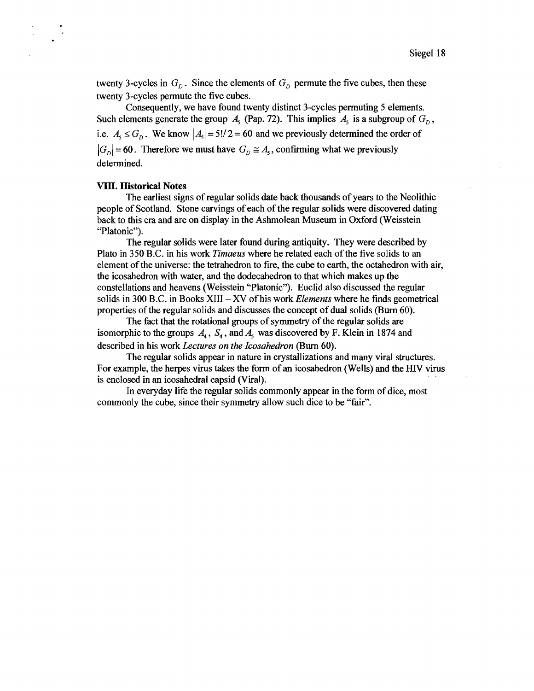twenty 3-cycles in  $G<sub>p</sub>$ . Since the elements of  $G<sub>p</sub>$  permute the five cubes, then these twenty 3-cycles permute the five cubes.

Consequently, we have found twenty distinct 3-cycles permuting 5 elements. Such elements generate the group  $A_5$  (Pap. 72). This implies  $A_5$  is a subgroup of  $G_5$ , i.e.  $A_1 \leq G$ . We know  $|A_2| = 5!/2 = 60$  and we previously determined the order of  $|G_n|$  = 60. Therefore we must have  $G_n \cong A_5$ , confirming what we previously determined.

#### VIII. **Historical Notes**

The earliest signs of regular solids date back thousands of years to the Neolithic people of Scotland. Stone carvings of each of the regular solids were discovered dating back to this era and are on display in the Ashmolean Museum in Oxford (Weisstein "Platonic").

The regular solids were later found during antiquity. They were described by Plato in 350 B.C. in his work *Timaeus* where he related each of the five solids to an element of the universe: the tetrahedron to fire, the cube to earth, the octahedron with air, the icosahedron with water, and the dodecahedron to that which makes up the constellations and heavens (Weisstein "Platonic"). Euclid also discussed the regular solids in 300 B.C. in Books **XI11** - **XV** of his work *Elements* where he finds geometrical properties of the regular solids and discusses the concept of dual solids (Burn 60).

The fact that the rotational groups of symmetry of the regular solids are isomorphic to the groups  $A_4$ ,  $S_4$ , and  $A_5$  was discovered by F. Klein in 1874 and described in his work *Lectures on the Icosahedron* (Burn 60).

The regular solids appear in nature in crystallizations and many viral structures. For example, the herpes virus takes the form of an icosahedron (Wells) and the **HIV** virus is enclosed in an icosahedral capsid (Viral).

In everyday life the regular solids commonly appear in the form of dice, most commonly the cube, since their symmetry allow such dice to be "fair".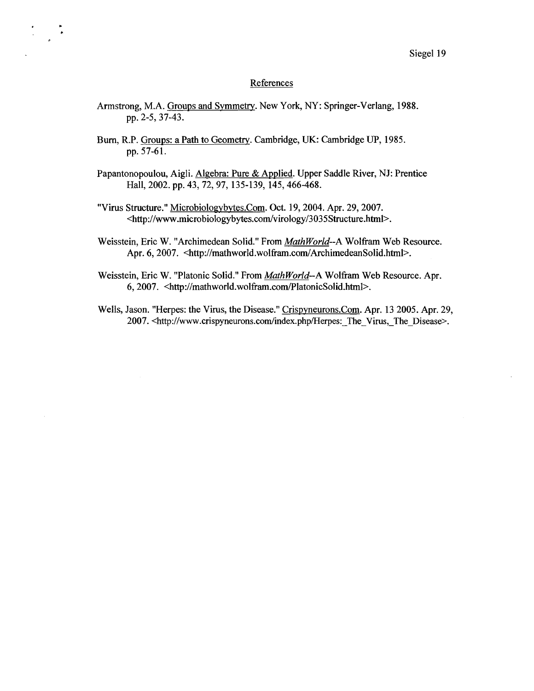#### References

- Armstrong, M.A. Groups and Symmetry. New York, NY: Springer-Verlang, 1988. pp. 2-5,37-43.
- Bum, R.P. Groups: a Path to Geometry. Cambridge, UK: Cambridge **LIP,** 1985. pp. 57-61.
- Papantonopoulou, Aigli. Algebra: Pure & Applied. Upper Saddle River, NJ: Prentice Hall, 2002. pp. 43, 72,97, 135-139, 145,466-468.
- "Virus Structure." Microbiologybytes.Com. Oct. 19,2004. Apr. 29,2007. **<http://www.microbiologybytes.com/virology/3035Structure.html>.**
- Weisstein, Eric W. "Archimedean Solid." From MathWorld--A Wolfram Web Resource. Apr. 6, 2007. <http://mathworld.wolfram.com/ArchimedeanSolid.html>.
- Weisstein, Eric W. "Platonic Solid." From MathWorld--A Wolfram Web Resource. Apr. 6,2007. **<http://mathworld.wolfiam.com/PlatonicSolid.html~.**
- Wells, Jason. "Herpes: the Virus, the Disease." Crispyneurons.Com. Apr. 13 2005. Apr. 29, 2007. <http://www.crispyneurons.com/index.php/Herpes:\_The\_Virus,\_The\_Disease>.